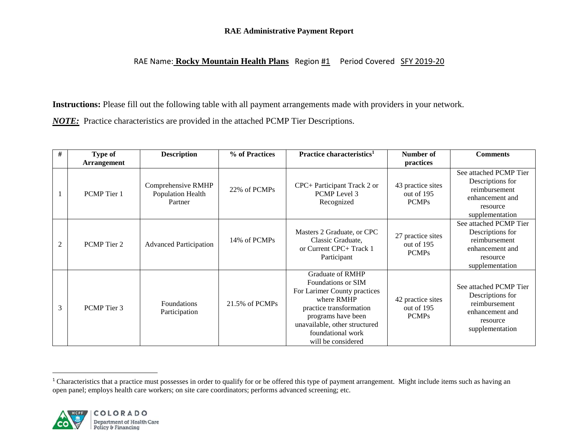# **RAE Administrative Payment Report**

# RAE Name: **Rocky Mountain Health Plans** Region #1 Period Covered SFY 2019-20

**Instructions:** Please fill out the following table with all payment arrangements made with providers in your network. *NOTE:* Practice characteristics are provided in the attached PCMP Tier Descriptions.

| #              | Type of            | <b>Description</b>                                 | % of Practices | Practice characteristics <sup>1</sup>                                                                                                                                                                                    | Number of                                       | <b>Comments</b>                                                                                               |
|----------------|--------------------|----------------------------------------------------|----------------|--------------------------------------------------------------------------------------------------------------------------------------------------------------------------------------------------------------------------|-------------------------------------------------|---------------------------------------------------------------------------------------------------------------|
|                | <b>Arrangement</b> |                                                    |                |                                                                                                                                                                                                                          | practices                                       |                                                                                                               |
|                | PCMP Tier 1        | Comprehensive RMHP<br>Population Health<br>Partner | 22% of PCMPs   | CPC+ Participant Track 2 or<br>PCMP Level 3<br>Recognized                                                                                                                                                                | 43 practice sites<br>out of 195<br><b>PCMPs</b> | See attached PCMP Tier<br>Descriptions for<br>reimbursement<br>enhancement and<br>resource<br>supplementation |
| $\overline{2}$ | PCMP Tier 2        | <b>Advanced Participation</b>                      | 14% of PCMPs   | Masters 2 Graduate, or CPC<br>Classic Graduate,<br>or Current CPC+ Track 1<br>Participant                                                                                                                                | 27 practice sites<br>out of 195<br><b>PCMPs</b> | See attached PCMP Tier<br>Descriptions for<br>reimbursement<br>enhancement and<br>resource<br>supplementation |
| 3              | PCMP Tier 3        | <b>Foundations</b><br>Participation                | 21.5% of PCMPs | <b>Graduate of RMHP</b><br>Foundations or SIM<br>For Larimer County practices<br>where RMHP<br>practice transformation<br>programs have been<br>unavailable, other structured<br>foundational work<br>will be considered | 42 practice sites<br>out of 195<br><b>PCMPs</b> | See attached PCMP Tier<br>Descriptions for<br>reimbursement<br>enhancement and<br>resource<br>supplementation |

<sup>&</sup>lt;sup>1</sup> Characteristics that a practice must possesses in order to qualify for or be offered this type of payment arrangement. Might include items such as having an open panel; employs health care workers; on site care coordinators; performs advanced screening; etc.



l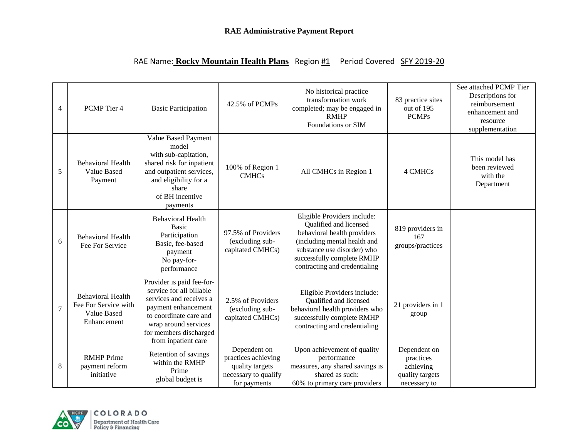|  | RAE Name: Rocky Mountain Health Plans Region #1 Period Covered SFY 2019-20 |  |
|--|----------------------------------------------------------------------------|--|
|--|----------------------------------------------------------------------------|--|

| $\overline{4}$ | PCMP Tier 4                                                                    | <b>Basic Participation</b>                                                                                                                                                                                 | 42.5% of PCMPs                                                                                 | No historical practice<br>transformation work<br>completed; may be engaged in<br><b>RMHP</b><br>Foundations or SIM                                                                                                 | 83 practice sites<br>out of 195<br><b>PCMPs</b>                           | See attached PCMP Tier<br>Descriptions for<br>reimbursement<br>enhancement and<br>resource<br>supplementation |
|----------------|--------------------------------------------------------------------------------|------------------------------------------------------------------------------------------------------------------------------------------------------------------------------------------------------------|------------------------------------------------------------------------------------------------|--------------------------------------------------------------------------------------------------------------------------------------------------------------------------------------------------------------------|---------------------------------------------------------------------------|---------------------------------------------------------------------------------------------------------------|
| 5              | <b>Behavioral Health</b><br><b>Value Based</b><br>Payment                      | Value Based Payment<br>model<br>with sub-capitation,<br>shared risk for inpatient<br>and outpatient services,<br>and eligibility for a<br>share<br>of BH incentive<br>payments                             | 100% of Region 1<br><b>CMHCs</b>                                                               | All CMHCs in Region 1                                                                                                                                                                                              | 4 CMHCs                                                                   | This model has<br>been reviewed<br>with the<br>Department                                                     |
| 6              | <b>Behavioral Health</b><br>Fee For Service                                    | <b>Behavioral Health</b><br><b>Basic</b><br>Participation<br>Basic, fee-based<br>payment<br>No pay-for-<br>performance                                                                                     | 97.5% of Providers<br>(excluding sub-<br>capitated CMHCs)                                      | Eligible Providers include:<br>Qualified and licensed<br>behavioral health providers<br>(including mental health and<br>substance use disorder) who<br>successfully complete RMHP<br>contracting and credentialing | 819 providers in<br>167<br>groups/practices                               |                                                                                                               |
| $\overline{7}$ | <b>Behavioral Health</b><br>Fee For Service with<br>Value Based<br>Enhancement | Provider is paid fee-for-<br>service for all billable<br>services and receives a<br>payment enhancement<br>to coordinate care and<br>wrap around services<br>for members discharged<br>from inpatient care | 2.5% of Providers<br>(excluding sub-<br>capitated CMHCs)                                       | Eligible Providers include:<br>Qualified and licensed<br>behavioral health providers who<br>successfully complete RMHP<br>contracting and credentialing                                                            | 21 providers in 1<br>group                                                |                                                                                                               |
| 8              | <b>RMHP</b> Prime<br>payment reform<br>initiative                              | Retention of savings<br>within the RMHP<br>Prime<br>global budget is                                                                                                                                       | Dependent on<br>practices achieving<br>quality targets<br>necessary to qualify<br>for payments | Upon achievement of quality<br>performance<br>measures, any shared savings is<br>shared as such:<br>60% to primary care providers                                                                                  | Dependent on<br>practices<br>achieving<br>quality targets<br>necessary to |                                                                                                               |

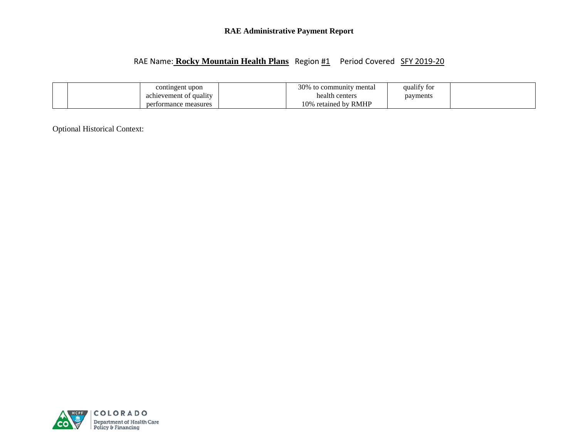# **RAE Administrative Payment Report**

# RAE Name: **Rocky Mountain Health Plans** Region #1 Period Covered SFY 2019-20

|  | contingent upon               | 30%<br><sup>7</sup> mental<br>to community ( | $\mathbf{1} \cdot \mathbf{c}$ $\mathbf{c}$<br>quality for |
|--|-------------------------------|----------------------------------------------|-----------------------------------------------------------|
|  | achievement of quality        | health centers                               | payments                                                  |
|  | measures<br>per.<br>rtormance | retained by RMHP<br>10%                      |                                                           |

Optional Historical Context:

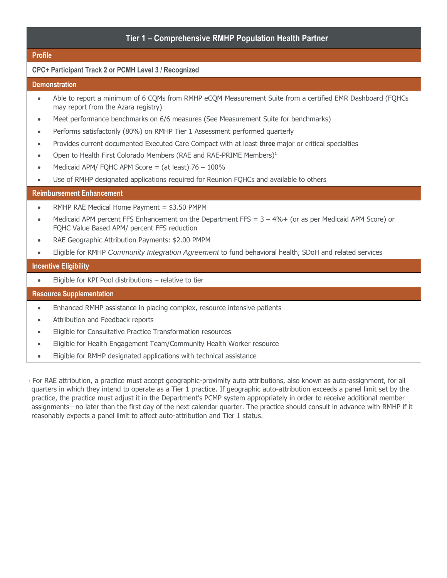# **Tier 1 – Comprehensive RMHP Population Health Partner**

#### **Profile**

### **CPC+ Participant Track 2 or PCMH Level 3 / Recognized**

#### **Demonstration**

- Able to report a minimum of 6 CQMs from RMHP eCQM Measurement Suite from a certified EMR Dashboard (FQHCs may report from the Azara registry)
- Meet performance benchmarks on 6/6 measures (See Measurement Suite for benchmarks)
- Performs satisfactorily (80%) on RMHP Tier 1 Assessment performed quarterly
- Provides current documented Executed Care Compact with at least **three** major or critical specialties
- Open to Health First Colorado Members (RAE and RAE-PRIME Members) $1$
- Medicaid APM/ FOHC APM Score = (at least)  $76 100\%$
- Use of RMHP designated applications required for Reunion FQHCs and available to others

### **Reimbursement Enhancement**

- RMHP RAE Medical Home Payment = \$3.50 PMPM
- Medicaid APM percent FFS Enhancement on the Department FFS =  $3 4% +$  (or as per Medicaid APM Score) or FQHC Value Based APM/ percent FFS reduction
- RAE Geographic Attribution Payments: \$2.00 PMPM
- Eligible for RMHP *Community Integration Agreement* to fund behavioral health, SDoH and related services

#### **Incentive Eligibility**

Eligible for KPI Pool distributions – relative to tier

#### **Resource Supplementation**

- Enhanced RMHP assistance in placing complex, resource intensive patients
- Attribution and Feedback reports
- Eligible for Consultative Practice Transformation resources
- Eligible for Health Engagement Team/Community Health Worker resource
- Eligible for RMHP designated applications with technical assistance

<sup>1</sup> For RAE attribution, a practice must accept geographic-proximity auto attributions, also known as auto-assignment, for all quarters in which they intend to operate as a Tier 1 practice. If geographic auto-attribution exceeds a panel limit set by the practice, the practice must adjust it in the Department's PCMP system appropriately in order to receive additional member assignments—no later than the first day of the next calendar quarter. The practice should consult in advance with RMHP if it reasonably expects a panel limit to affect auto-attribution and Tier 1 status.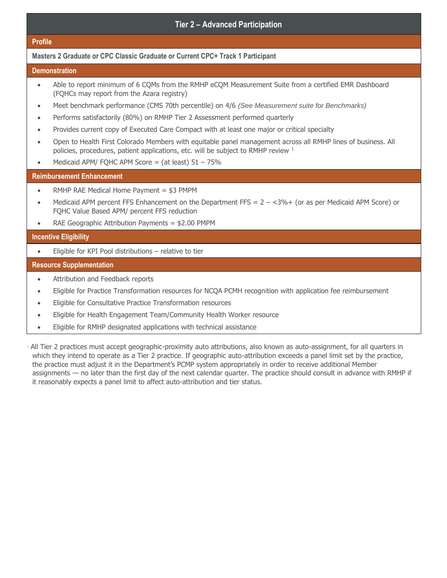# **Tier 2 – Advanced Participation**

#### **Profile**

### **Masters 2 Graduate or CPC Classic Graduate or Current CPC+ Track 1 Participant**

#### **Demonstration**

- Able to report minimum of 6 CQMs from the RMHP eCQM Measurement Suite from a certified EMR Dashboard (FQHCs may report from the Azara registry)
- Meet benchmark performance (CMS 70th percentile) on 4/6 *(See Measurement suite for Benchmarks)*
- Performs satisfactorily (80%) on RMHP Tier 2 Assessment performed quarterly
- Provides current copy of Executed Care Compact with at least one major or critical specialty
- Open to Health First Colorado Members with equitable panel management across all RMHP lines of business. All policies, procedures, patient applications, etc. will be subject to RMHP review <sup>1</sup>
- Medicaid APM/ FOHC APM Score = (at least)  $51 75%$

### **Reimbursement Enhancement**

- RMHP RAE Medical Home Payment = \$3 PMPM
- Medicaid APM percent FFS Enhancement on the Department FFS =  $2 <3\% +$  (or as per Medicaid APM Score) or FQHC Value Based APM/ percent FFS reduction
- RAE Geographic Attribution Payments = \$2.00 PMPM

#### **Incentive Eligibility**

Eligible for KPI Pool distributions – relative to tier

#### **Resource Supplementation**

- Attribution and Feedback reports
- Eligible for Practice Transformation resources for NCQA PCMH recognition with application fee reimbursement
- Eligible for Consultative Practice Transformation resources
- Eligible for Health Engagement Team/Community Health Worker resource
- Eligible for RMHP designated applications with technical assistance

<sup>1</sup> All Tier 2 practices must accept geographic-proximity auto attributions, also known as auto-assignment, for all quarters in which they intend to operate as a Tier 2 practice. If geographic auto-attribution exceeds a panel limit set by the practice, the practice must adjust it in the Department's PCMP system appropriately in order to receive additional Member assignments — no later than the first day of the next calendar quarter. The practice should consult in advance with RMHP if it reasonably expects a panel limit to affect auto-attribution and tier status.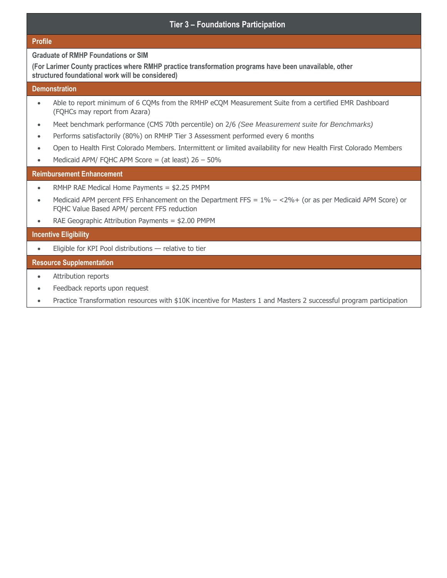# **Tier 3 – Foundations Participation**

#### **Profile**

**Graduate of RMHP Foundations or SIM**

**(For Larimer County practices where RMHP practice transformation programs have been unavailable, other structured foundational work will be considered)**

#### **Demonstration**

- Able to report minimum of 6 CQMs from the RMHP eCQM Measurement Suite from a certified EMR Dashboard (FQHCs may report from Azara)
- Meet benchmark performance (CMS 70th percentile) on 2/6 *(See Measurement suite for Benchmarks)*
- Performs satisfactorily (80%) on RMHP Tier 3 Assessment performed every 6 months
- Open to Health First Colorado Members. Intermittent or limited availability for new Health First Colorado Members
- $\bullet$  Medicaid APM/ FQHC APM Score = (at least) 26 50%

#### **Reimbursement Enhancement**

- RMHP RAE Medical Home Payments = \$2.25 PMPM
- Medicaid APM percent FFS Enhancement on the Department FFS =  $1\%  $2\% +$  (or as per Medicaid APM Score) or$ FQHC Value Based APM/ percent FFS reduction
- RAE Geographic Attribution Payments = \$2.00 PMPM

#### **Incentive Eligibility**

Eligible for KPI Pool distributions — relative to tier

### **Resource Supplementation**

- Attribution reports
- Feedback reports upon request
- Practice Transformation resources with \$10K incentive for Masters 1 and Masters 2 successful program participation